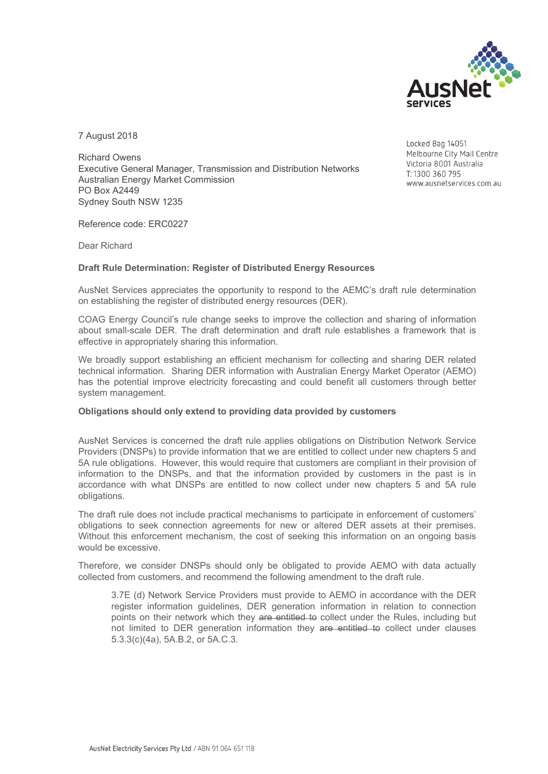

7 August 2018

Richard Owens Executive General Manager, Transmission and Distribution Networks Australian Energy Market Commission PO Box A2449 Sydney South NSW 1235

Locked Bag 14051 Melbourne City Mail Centre Victoria 8001 Australia T: 1300 360 795 www.ausnetservices.com.au

Reference code: ERC0227

Dear Richard

## **Draft Rule Determination: Register of Distributed Energy Resources**

AusNet Services appreciates the opportunity to respond to the AEMC's draft rule determination on establishing the register of distributed energy resources (DER).

COAG Energy Council's rule change seeks to improve the collection and sharing of information about small-scale DER. The draft determination and draft rule establishes a framework that is effective in appropriately sharing this information.

We broadly support establishing an efficient mechanism for collecting and sharing DER related technical information. Sharing DER information with Australian Energy Market Operator (AEMO) has the potential improve electricity forecasting and could benefit all customers through better system management.

## **Obligations should only extend to providing data provided by customers**

AusNet Services is concerned the draft rule applies obligations on Distribution Network Service Providers (DNSPs) to provide information that we are entitled to collect under new chapters 5 and 5A rule obligations. However, this would require that customers are compliant in their provision of information to the DNSPs, and that the information provided by customers in the past is in accordance with what DNSPs are entitled to now collect under new chapters 5 and 5A rule obligations.

The draft rule does not include practical mechanisms to participate in enforcement of customers' obligations to seek connection agreements for new or altered DER assets at their premises. Without this enforcement mechanism, the cost of seeking this information on an ongoing basis would be excessive.

Therefore, we consider DNSPs should only be obligated to provide AEMO with data actually collected from customers, and recommend the following amendment to the draft rule.

3.7E (d) Network Service Providers must provide to AEMO in accordance with the DER register information guidelines, DER generation information in relation to connection points on their network which they are entitled to collect under the Rules, including but not limited to DER generation information they are entitled to collect under clauses 5.3.3(c)(4a), 5A.B.2, or 5A.C.3.